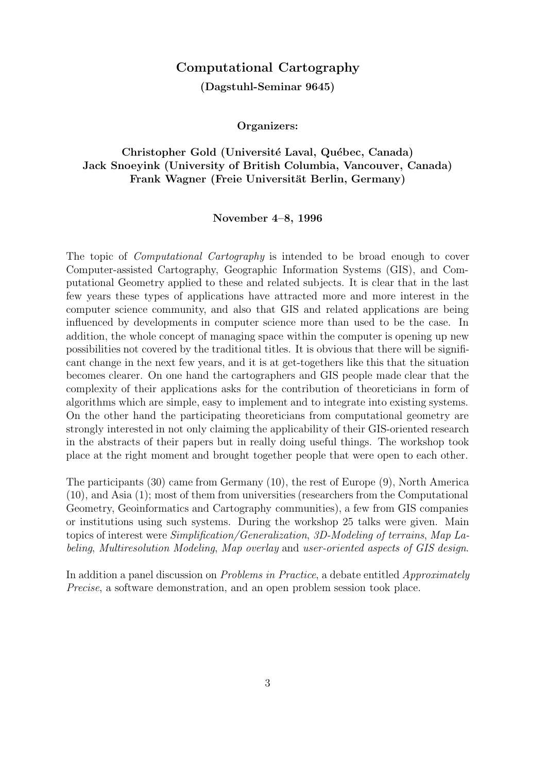### Computational Cartography

(Dagstuhl-Seminar 9645)

Organizers:

### Christopher Gold (Université Laval, Québec, Canada) Jack Snoeyink (University of British Columbia, Vancouver, Canada) Frank Wagner (Freie Universität Berlin, Germany)

#### November 4–8, 1996

The topic of Computational Cartography is intended to be broad enough to cover Computer-assisted Cartography, Geographic Information Systems (GIS), and Computational Geometry applied to these and related subjects. It is clear that in the last few years these types of applications have attracted more and more interest in the computer science community, and also that GIS and related applications are being influenced by developments in computer science more than used to be the case. In addition, the whole concept of managing space within the computer is opening up new possibilities not covered by the traditional titles. It is obvious that there will be significant change in the next few years, and it is at get-togethers like this that the situation becomes clearer. On one hand the cartographers and GIS people made clear that the complexity of their applications asks for the contribution of theoreticians in form of algorithms which are simple, easy to implement and to integrate into existing systems. On the other hand the participating theoreticians from computational geometry are strongly interested in not only claiming the applicability of their GIS-oriented research in the abstracts of their papers but in really doing useful things. The workshop took place at the right moment and brought together people that were open to each other.

The participants (30) came from Germany (10), the rest of Europe (9), North America (10), and Asia (1); most of them from universities (researchers from the Computational Geometry, Geoinformatics and Cartography communities), a few from GIS companies or institutions using such systems. During the workshop 25 talks were given. Main topics of interest were Simplification/Generalization, 3D-Modeling of terrains, Map Labeling, Multiresolution Modeling, Map overlay and user-oriented aspects of GIS design.

In addition a panel discussion on *Problems in Practice*, a debate entitled *Approximately* Precise, a software demonstration, and an open problem session took place.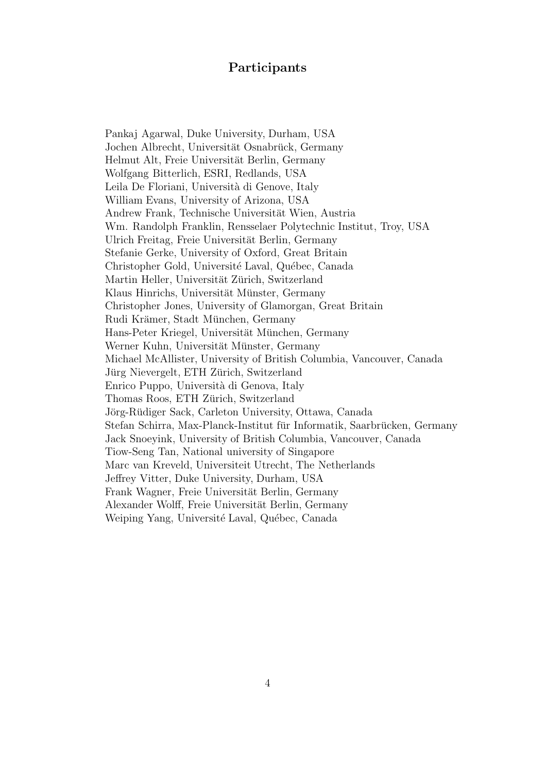### Participants

Pankaj Agarwal, Duke University, Durham, USA Jochen Albrecht, Universität Osnabrück, Germany Helmut Alt, Freie Universität Berlin, Germany Wolfgang Bitterlich, ESRI, Redlands, USA Leila De Floriani, Università di Genove, Italy William Evans, University of Arizona, USA Andrew Frank, Technische Universität Wien, Austria Wm. Randolph Franklin, Rensselaer Polytechnic Institut, Troy, USA Ulrich Freitag, Freie Universität Berlin, Germany Stefanie Gerke, University of Oxford, Great Britain Christopher Gold, Université Laval, Québec, Canada Martin Heller, Universität Zürich, Switzerland Klaus Hinrichs, Universität Münster, Germany Christopher Jones, University of Glamorgan, Great Britain Rudi Krämer, Stadt München, Germany Hans-Peter Kriegel, Universität München, Germany Werner Kuhn, Universität Münster, Germany Michael McAllister, University of British Columbia, Vancouver, Canada Jürg Nievergelt, ETH Zürich, Switzerland Enrico Puppo, Università di Genova, Italy Thomas Roos, ETH Zürich, Switzerland Jörg-Rüdiger Sack, Carleton University, Ottawa, Canada Stefan Schirra, Max-Planck-Institut für Informatik, Saarbrücken, Germany Jack Snoeyink, University of British Columbia, Vancouver, Canada Tiow-Seng Tan, National university of Singapore Marc van Kreveld, Universiteit Utrecht, The Netherlands Jeffrey Vitter, Duke University, Durham, USA Frank Wagner, Freie Universität Berlin, Germany Alexander Wolff, Freie Universität Berlin, Germany Weiping Yang, Université Laval, Québec, Canada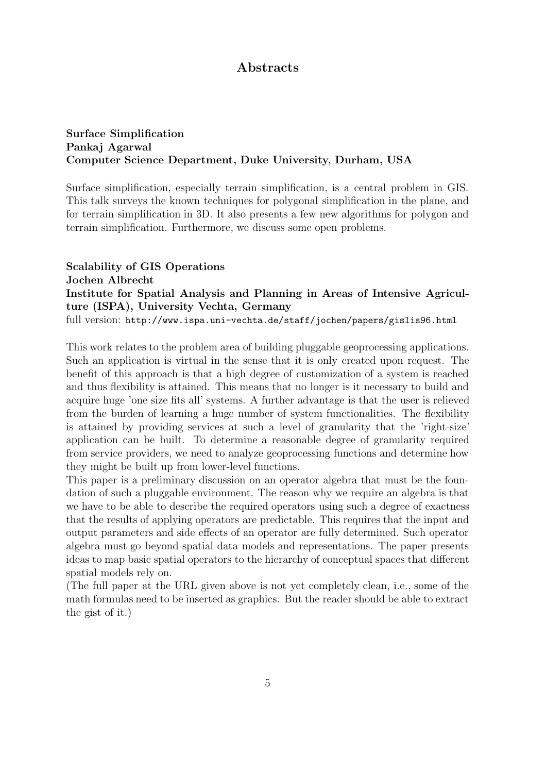## Abstracts

### Surface Simplification Pankaj Agarwal Computer Science Department, Duke University, Durham, USA

Surface simplification, especially terrain simplification, is a central problem in GIS. This talk surveys the known techniques for polygonal simplification in the plane, and for terrain simplification in 3D. It also presents a few new algorithms for polygon and terrain simplification. Furthermore, we discuss some open problems.

## Scalability of GIS Operations Jochen Albrecht Institute for Spatial Analysis and Planning in Areas of Intensive Agriculture (ISPA), University Vechta, Germany

full version: http://www.ispa.uni-vechta.de/staff/jochen/papers/gislis96.html

This work relates to the problem area of building pluggable geoprocessing applications. Such an application is virtual in the sense that it is only created upon request. The benefit of this approach is that a high degree of customization of a system is reached and thus flexibility is attained. This means that no longer is it necessary to build and acquire huge 'one size fits all' systems. A further advantage is that the user is relieved from the burden of learning a huge number of system functionalities. The flexibility is attained by providing services at such a level of granularity that the 'right-size' application can be built. To determine a reasonable degree of granularity required from service providers, we need to analyze geoprocessing functions and determine how they might be built up from lower-level functions.

This paper is a preliminary discussion on an operator algebra that must be the foundation of such a pluggable environment. The reason why we require an algebra is that we have to be able to describe the required operators using such a degree of exactness that the results of applying operators are predictable. This requires that the input and output parameters and side effects of an operator are fully determined. Such operator algebra must go beyond spatial data models and representations. The paper presents ideas to map basic spatial operators to the hierarchy of conceptual spaces that different spatial models rely on.

(The full paper at the URL given above is not yet completely clean, i.e., some of the math formulas need to be inserted as graphics. But the reader should be able to extract the gist of it.)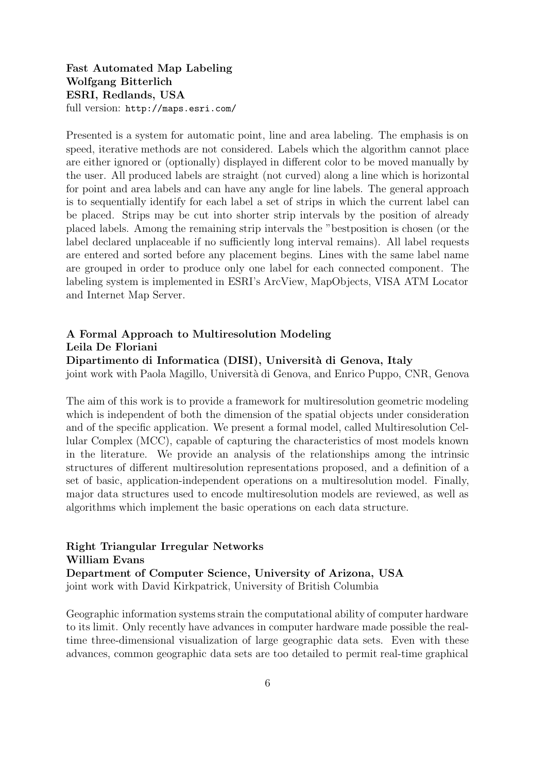Fast Automated Map Labeling Wolfgang Bitterlich ESRI, Redlands, USA full version: http://maps.esri.com/

Presented is a system for automatic point, line and area labeling. The emphasis is on speed, iterative methods are not considered. Labels which the algorithm cannot place are either ignored or (optionally) displayed in different color to be moved manually by the user. All produced labels are straight (not curved) along a line which is horizontal for point and area labels and can have any angle for line labels. The general approach is to sequentially identify for each label a set of strips in which the current label can be placed. Strips may be cut into shorter strip intervals by the position of already placed labels. Among the remaining strip intervals the "bestposition is chosen (or the label declared unplaceable if no sufficiently long interval remains). All label requests are entered and sorted before any placement begins. Lines with the same label name are grouped in order to produce only one label for each connected component. The labeling system is implemented in ESRI's ArcView, MapObjects, VISA ATM Locator and Internet Map Server.

#### A Formal Approach to Multiresolution Modeling Leila De Floriani

#### Dipartimento di Informatica (DISI), Universit`a di Genova, Italy

joint work with Paola Magillo, Università di Genova, and Enrico Puppo, CNR, Genova

The aim of this work is to provide a framework for multiresolution geometric modeling which is independent of both the dimension of the spatial objects under consideration and of the specific application. We present a formal model, called Multiresolution Cellular Complex (MCC), capable of capturing the characteristics of most models known in the literature. We provide an analysis of the relationships among the intrinsic structures of different multiresolution representations proposed, and a definition of a set of basic, application-independent operations on a multiresolution model. Finally, major data structures used to encode multiresolution models are reviewed, as well as algorithms which implement the basic operations on each data structure.

Right Triangular Irregular Networks William Evans Department of Computer Science, University of Arizona, USA joint work with David Kirkpatrick, University of British Columbia

Geographic information systems strain the computational ability of computer hardware to its limit. Only recently have advances in computer hardware made possible the realtime three-dimensional visualization of large geographic data sets. Even with these advances, common geographic data sets are too detailed to permit real-time graphical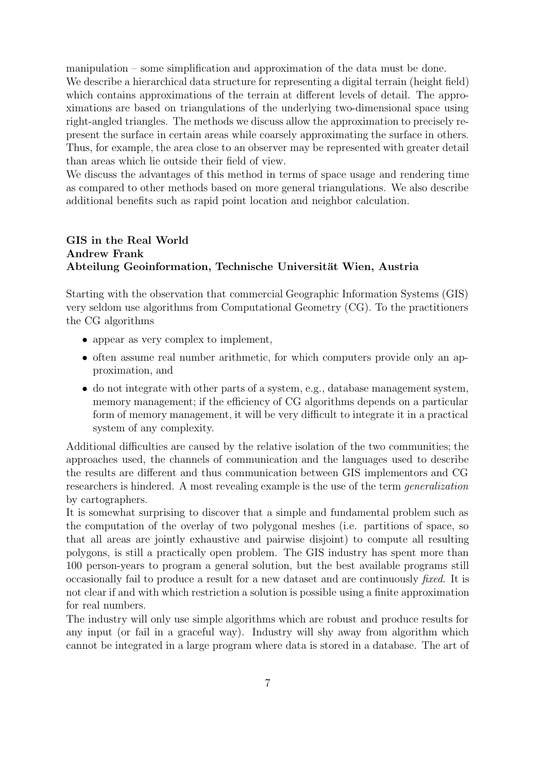manipulation – some simplification and approximation of the data must be done. We describe a hierarchical data structure for representing a digital terrain (height field) which contains approximations of the terrain at different levels of detail. The approximations are based on triangulations of the underlying two-dimensional space using right-angled triangles. The methods we discuss allow the approximation to precisely represent the surface in certain areas while coarsely approximating the surface in others. Thus, for example, the area close to an observer may be represented with greater detail than areas which lie outside their field of view.

We discuss the advantages of this method in terms of space usage and rendering time as compared to other methods based on more general triangulations. We also describe additional benefits such as rapid point location and neighbor calculation.

### GIS in the Real World Andrew Frank Abteilung Geoinformation, Technische Universität Wien, Austria

Starting with the observation that commercial Geographic Information Systems (GIS) very seldom use algorithms from Computational Geometry (CG). To the practitioners the CG algorithms

- appear as very complex to implement,
- often assume real number arithmetic, for which computers provide only an approximation, and
- do not integrate with other parts of a system, e.g., database management system, memory management; if the efficiency of CG algorithms depends on a particular form of memory management, it will be very difficult to integrate it in a practical system of any complexity.

Additional difficulties are caused by the relative isolation of the two communities; the approaches used, the channels of communication and the languages used to describe the results are different and thus communication between GIS implementors and CG researchers is hindered. A most revealing example is the use of the term *generalization* by cartographers.

It is somewhat surprising to discover that a simple and fundamental problem such as the computation of the overlay of two polygonal meshes (i.e. partitions of space, so that all areas are jointly exhaustive and pairwise disjoint) to compute all resulting polygons, is still a practically open problem. The GIS industry has spent more than 100 person-years to program a general solution, but the best available programs still occasionally fail to produce a result for a new dataset and are continuously fixed. It is not clear if and with which restriction a solution is possible using a finite approximation for real numbers.

The industry will only use simple algorithms which are robust and produce results for any input (or fail in a graceful way). Industry will shy away from algorithm which cannot be integrated in a large program where data is stored in a database. The art of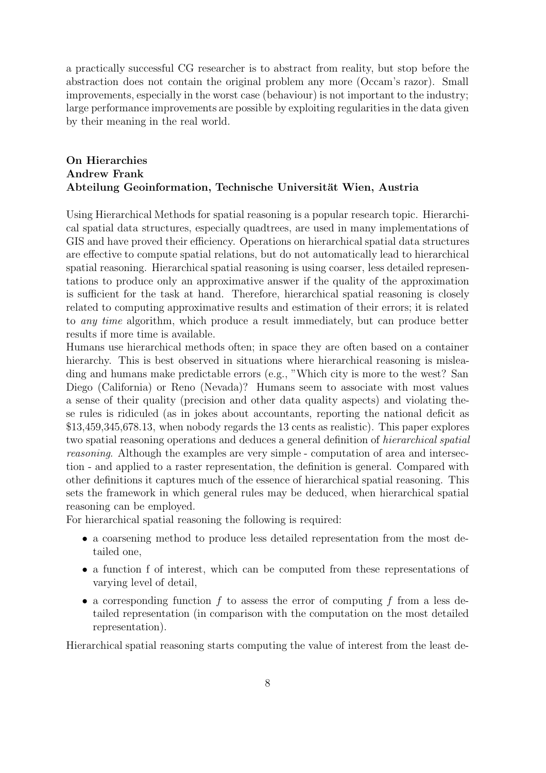a practically successful CG researcher is to abstract from reality, but stop before the abstraction does not contain the original problem any more (Occam's razor). Small improvements, especially in the worst case (behaviour) is not important to the industry; large performance improvements are possible by exploiting regularities in the data given by their meaning in the real world.

### On Hierarchies Andrew Frank Abteilung Geoinformation, Technische Universität Wien, Austria

Using Hierarchical Methods for spatial reasoning is a popular research topic. Hierarchical spatial data structures, especially quadtrees, are used in many implementations of GIS and have proved their efficiency. Operations on hierarchical spatial data structures are effective to compute spatial relations, but do not automatically lead to hierarchical spatial reasoning. Hierarchical spatial reasoning is using coarser, less detailed representations to produce only an approximative answer if the quality of the approximation is sufficient for the task at hand. Therefore, hierarchical spatial reasoning is closely related to computing approximative results and estimation of their errors; it is related to any time algorithm, which produce a result immediately, but can produce better results if more time is available.

Humans use hierarchical methods often; in space they are often based on a container hierarchy. This is best observed in situations where hierarchical reasoning is misleading and humans make predictable errors (e.g., "Which city is more to the west? San Diego (California) or Reno (Nevada)? Humans seem to associate with most values a sense of their quality (precision and other data quality aspects) and violating these rules is ridiculed (as in jokes about accountants, reporting the national deficit as \$13,459,345,678.13, when nobody regards the 13 cents as realistic). This paper explores two spatial reasoning operations and deduces a general definition of hierarchical spatial reasoning. Although the examples are very simple - computation of area and intersection - and applied to a raster representation, the definition is general. Compared with other definitions it captures much of the essence of hierarchical spatial reasoning. This sets the framework in which general rules may be deduced, when hierarchical spatial reasoning can be employed.

For hierarchical spatial reasoning the following is required:

- a coarsening method to produce less detailed representation from the most detailed one,
- a function f of interest, which can be computed from these representations of varying level of detail,
- a corresponding function  $f$  to assess the error of computing  $f$  from a less detailed representation (in comparison with the computation on the most detailed representation).

Hierarchical spatial reasoning starts computing the value of interest from the least de-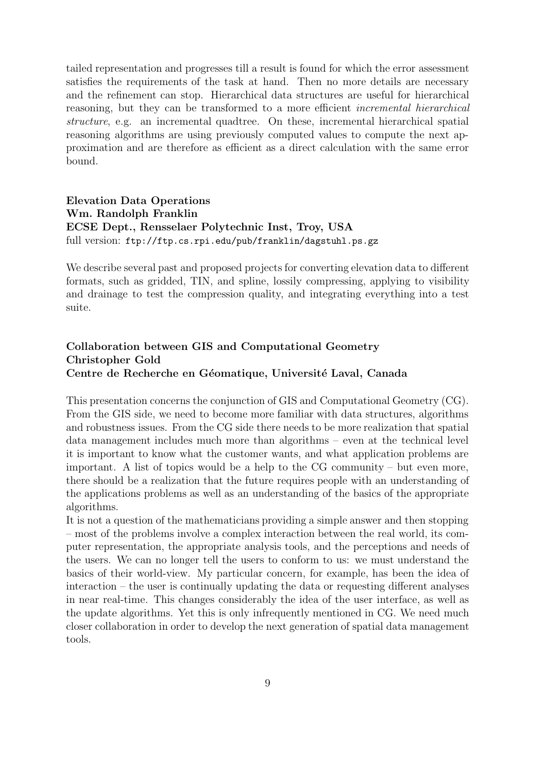tailed representation and progresses till a result is found for which the error assessment satisfies the requirements of the task at hand. Then no more details are necessary and the refinement can stop. Hierarchical data structures are useful for hierarchical reasoning, but they can be transformed to a more efficient incremental hierarchical structure, e.g. an incremental quadtree. On these, incremental hierarchical spatial reasoning algorithms are using previously computed values to compute the next approximation and are therefore as efficient as a direct calculation with the same error bound.

### Elevation Data Operations Wm. Randolph Franklin ECSE Dept., Rensselaer Polytechnic Inst, Troy, USA full version: ftp://ftp.cs.rpi.edu/pub/franklin/dagstuhl.ps.gz

We describe several past and proposed projects for converting elevation data to different formats, such as gridded, TIN, and spline, lossily compressing, applying to visibility and drainage to test the compression quality, and integrating everything into a test suite.

### Collaboration between GIS and Computational Geometry Christopher Gold Centre de Recherche en Géomatique, Université Laval, Canada

This presentation concerns the conjunction of GIS and Computational Geometry (CG). From the GIS side, we need to become more familiar with data structures, algorithms and robustness issues. From the CG side there needs to be more realization that spatial data management includes much more than algorithms – even at the technical level it is important to know what the customer wants, and what application problems are important. A list of topics would be a help to the CG community – but even more, there should be a realization that the future requires people with an understanding of the applications problems as well as an understanding of the basics of the appropriate algorithms.

It is not a question of the mathematicians providing a simple answer and then stopping – most of the problems involve a complex interaction between the real world, its computer representation, the appropriate analysis tools, and the perceptions and needs of the users. We can no longer tell the users to conform to us: we must understand the basics of their world-view. My particular concern, for example, has been the idea of interaction – the user is continually updating the data or requesting different analyses in near real-time. This changes considerably the idea of the user interface, as well as the update algorithms. Yet this is only infrequently mentioned in CG. We need much closer collaboration in order to develop the next generation of spatial data management tools.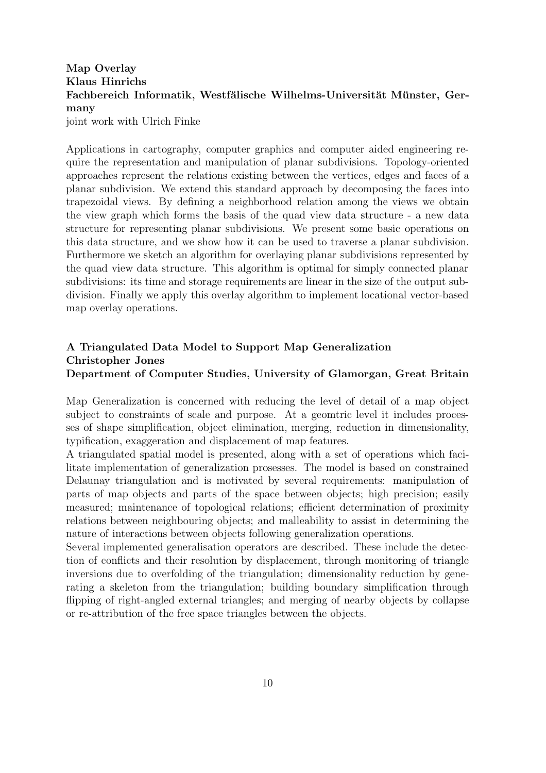## Map Overlay Klaus Hinrichs Fachbereich Informatik, Westfälische Wilhelms-Universität Münster, Germany

joint work with Ulrich Finke

Applications in cartography, computer graphics and computer aided engineering require the representation and manipulation of planar subdivisions. Topology-oriented approaches represent the relations existing between the vertices, edges and faces of a planar subdivision. We extend this standard approach by decomposing the faces into trapezoidal views. By defining a neighborhood relation among the views we obtain the view graph which forms the basis of the quad view data structure - a new data structure for representing planar subdivisions. We present some basic operations on this data structure, and we show how it can be used to traverse a planar subdivision. Furthermore we sketch an algorithm for overlaying planar subdivisions represented by the quad view data structure. This algorithm is optimal for simply connected planar subdivisions: its time and storage requirements are linear in the size of the output subdivision. Finally we apply this overlay algorithm to implement locational vector-based map overlay operations.

### A Triangulated Data Model to Support Map Generalization Christopher Jones Department of Computer Studies, University of Glamorgan, Great Britain

Map Generalization is concerned with reducing the level of detail of a map object subject to constraints of scale and purpose. At a geomtric level it includes processes of shape simplification, object elimination, merging, reduction in dimensionality, typification, exaggeration and displacement of map features.

A triangulated spatial model is presented, along with a set of operations which facilitate implementation of generalization prosesses. The model is based on constrained Delaunay triangulation and is motivated by several requirements: manipulation of parts of map objects and parts of the space between objects; high precision; easily measured; maintenance of topological relations; efficient determination of proximity relations between neighbouring objects; and malleability to assist in determining the nature of interactions between objects following generalization operations.

Several implemented generalisation operators are described. These include the detection of conflicts and their resolution by displacement, through monitoring of triangle inversions due to overfolding of the triangulation; dimensionality reduction by generating a skeleton from the triangulation; building boundary simplification through flipping of right-angled external triangles; and merging of nearby objects by collapse or re-attribution of the free space triangles between the objects.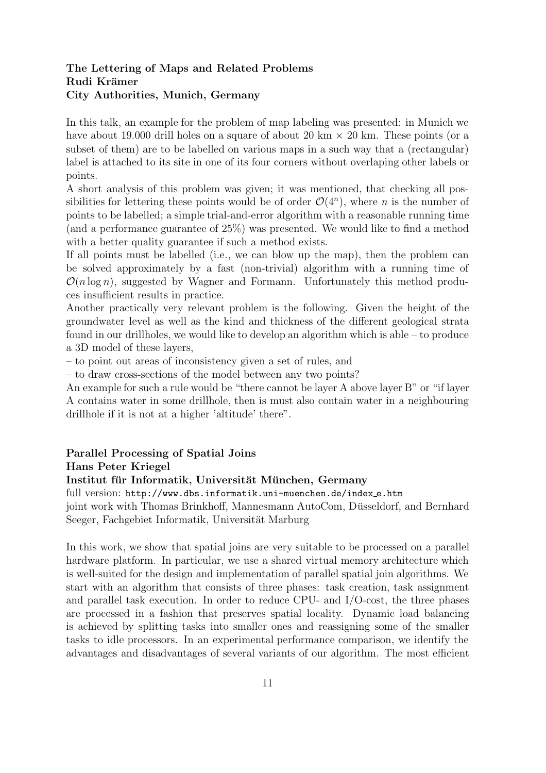### The Lettering of Maps and Related Problems Rudi Krämer City Authorities, Munich, Germany

In this talk, an example for the problem of map labeling was presented: in Munich we have about 19.000 drill holes on a square of about 20 km  $\times$  20 km. These points (or a subset of them) are to be labelled on various maps in a such way that a (rectangular) label is attached to its site in one of its four corners without overlaping other labels or points.

A short analysis of this problem was given; it was mentioned, that checking all possibilities for lettering these points would be of order  $\mathcal{O}(4^n)$ , where *n* is the number of points to be labelled; a simple trial-and-error algorithm with a reasonable running time (and a performance guarantee of 25%) was presented. We would like to find a method with a better quality guarantee if such a method exists.

If all points must be labelled (i.e., we can blow up the map), then the problem can be solved approximately by a fast (non-trivial) algorithm with a running time of  $\mathcal{O}(n \log n)$ , suggested by Wagner and Formann. Unfortunately this method produces insufficient results in practice.

Another practically very relevant problem is the following. Given the height of the groundwater level as well as the kind and thickness of the different geological strata found in our drillholes, we would like to develop an algorithm which is able – to produce a 3D model of these layers,

– to point out areas of inconsistency given a set of rules, and

– to draw cross-sections of the model between any two points?

An example for such a rule would be "there cannot be layer A above layer B" or "if layer A contains water in some drillhole, then is must also contain water in a neighbouring drillhole if it is not at a higher 'altitude' there".

### Parallel Processing of Spatial Joins Hans Peter Kriegel

#### Institut für Informatik, Universität München, Germany

full version: http://www.dbs.informatik.uni-muenchen.de/index e.htm

joint work with Thomas Brinkhoff, Mannesmann AutoCom, Düsseldorf, and Bernhard Seeger, Fachgebiet Informatik, Universität Marburg

In this work, we show that spatial joins are very suitable to be processed on a parallel hardware platform. In particular, we use a shared virtual memory architecture which is well-suited for the design and implementation of parallel spatial join algorithms. We start with an algorithm that consists of three phases: task creation, task assignment and parallel task execution. In order to reduce CPU- and I/O-cost, the three phases are processed in a fashion that preserves spatial locality. Dynamic load balancing is achieved by splitting tasks into smaller ones and reassigning some of the smaller tasks to idle processors. In an experimental performance comparison, we identify the advantages and disadvantages of several variants of our algorithm. The most efficient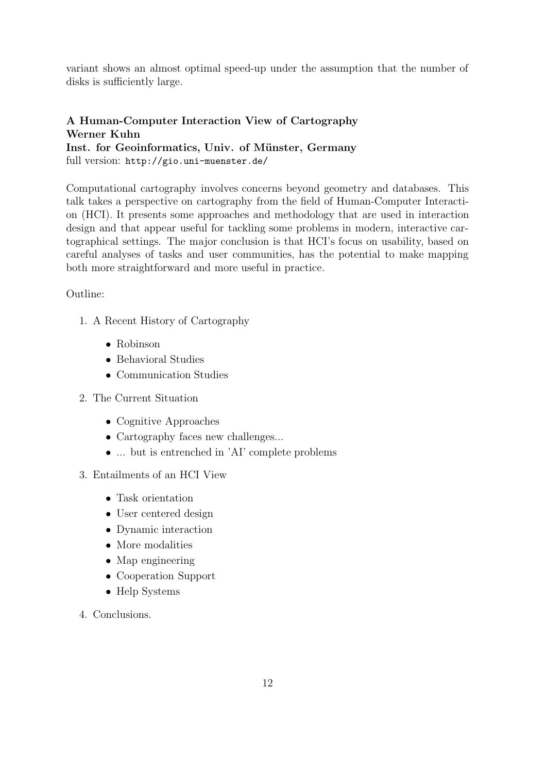variant shows an almost optimal speed-up under the assumption that the number of disks is sufficiently large.

### A Human-Computer Interaction View of Cartography Werner Kuhn Inst. for Geoinformatics, Univ. of Münster, Germany

full version: http://gio.uni-muenster.de/

Computational cartography involves concerns beyond geometry and databases. This talk takes a perspective on cartography from the field of Human-Computer Interaction (HCI). It presents some approaches and methodology that are used in interaction design and that appear useful for tackling some problems in modern, interactive cartographical settings. The major conclusion is that HCI's focus on usability, based on careful analyses of tasks and user communities, has the potential to make mapping both more straightforward and more useful in practice.

### Outline:

- 1. A Recent History of Cartography
	- Robinson
	- Behavioral Studies
	- Communication Studies
- 2. The Current Situation
	- Cognitive Approaches
	- Cartography faces new challenges...
	- ... but is entrenched in 'AI' complete problems
- 3. Entailments of an HCI View
	- Task orientation
	- User centered design
	- Dynamic interaction
	- More modalities
	- Map engineering
	- Cooperation Support
	- Help Systems
- 4. Conclusions.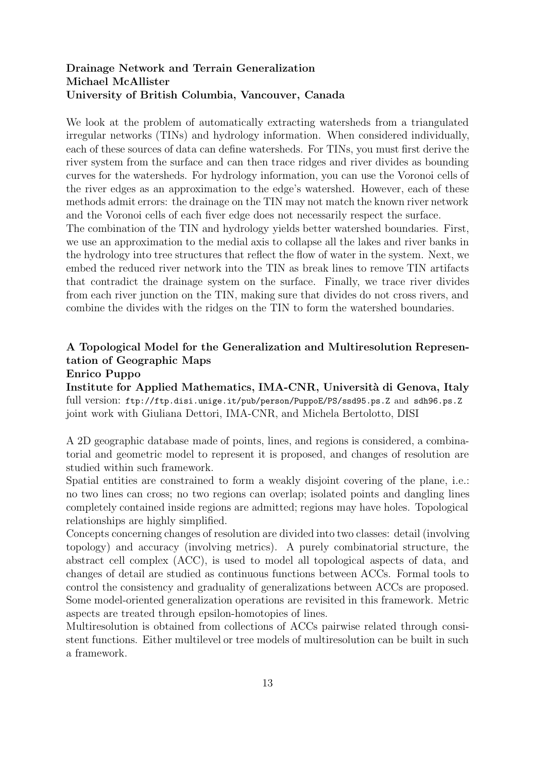### Drainage Network and Terrain Generalization Michael McAllister University of British Columbia, Vancouver, Canada

We look at the problem of automatically extracting watersheds from a triangulated irregular networks (TINs) and hydrology information. When considered individually, each of these sources of data can define watersheds. For TINs, you must first derive the river system from the surface and can then trace ridges and river divides as bounding curves for the watersheds. For hydrology information, you can use the Voronoi cells of the river edges as an approximation to the edge's watershed. However, each of these methods admit errors: the drainage on the TIN may not match the known river network and the Voronoi cells of each fiver edge does not necessarily respect the surface.

The combination of the TIN and hydrology yields better watershed boundaries. First, we use an approximation to the medial axis to collapse all the lakes and river banks in the hydrology into tree structures that reflect the flow of water in the system. Next, we embed the reduced river network into the TIN as break lines to remove TIN artifacts that contradict the drainage system on the surface. Finally, we trace river divides from each river junction on the TIN, making sure that divides do not cross rivers, and combine the divides with the ridges on the TIN to form the watershed boundaries.

## A Topological Model for the Generalization and Multiresolution Representation of Geographic Maps

#### Enrico Puppo

Institute for Applied Mathematics, IMA-CNR, Università di Genova, Italy full version: ftp://ftp.disi.unige.it/pub/person/PuppoE/PS/ssd95.ps.Z and sdh96.ps.Z joint work with Giuliana Dettori, IMA-CNR, and Michela Bertolotto, DISI

A 2D geographic database made of points, lines, and regions is considered, a combinatorial and geometric model to represent it is proposed, and changes of resolution are studied within such framework.

Spatial entities are constrained to form a weakly disjoint covering of the plane, i.e.: no two lines can cross; no two regions can overlap; isolated points and dangling lines completely contained inside regions are admitted; regions may have holes. Topological relationships are highly simplified.

Concepts concerning changes of resolution are divided into two classes: detail (involving topology) and accuracy (involving metrics). A purely combinatorial structure, the abstract cell complex (ACC), is used to model all topological aspects of data, and changes of detail are studied as continuous functions between ACCs. Formal tools to control the consistency and graduality of generalizations between ACCs are proposed. Some model-oriented generalization operations are revisited in this framework. Metric aspects are treated through epsilon-homotopies of lines.

Multiresolution is obtained from collections of ACCs pairwise related through consistent functions. Either multilevel or tree models of multiresolution can be built in such a framework.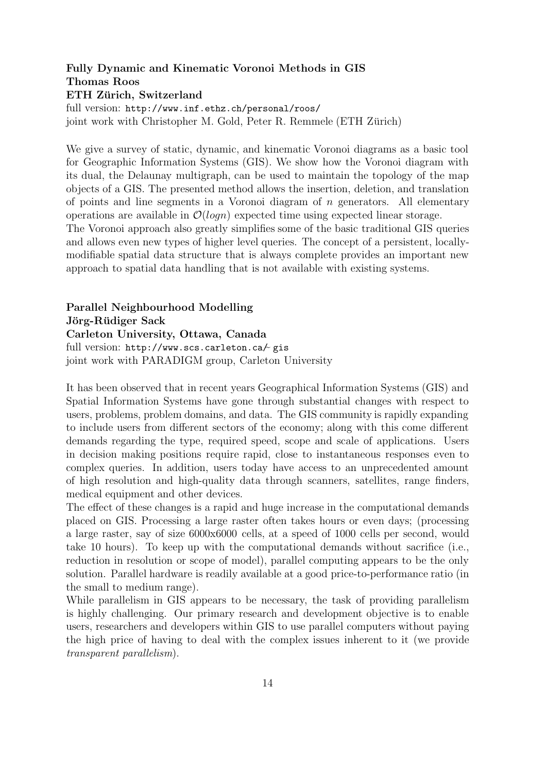### Fully Dynamic and Kinematic Voronoi Methods in GIS Thomas Roos ETH Zürich, Switzerland full version: http://www.inf.ethz.ch/personal/roos/

joint work with Christopher M. Gold, Peter R. Remmele (ETH Zürich)

We give a survey of static, dynamic, and kinematic Voronoi diagrams as a basic tool for Geographic Information Systems (GIS). We show how the Voronoi diagram with its dual, the Delaunay multigraph, can be used to maintain the topology of the map objects of a GIS. The presented method allows the insertion, deletion, and translation of points and line segments in a Voronoi diagram of  $n$  generators. All elementary operations are available in  $\mathcal{O}(logn)$  expected time using expected linear storage.

The Voronoi approach also greatly simplifies some of the basic traditional GIS queries and allows even new types of higher level queries. The concept of a persistent, locallymodifiable spatial data structure that is always complete provides an important new approach to spatial data handling that is not available with existing systems.

### Parallel Neighbourhood Modelling Jörg-Rüdiger Sack Carleton University, Ottawa, Canada

full version: http://www.scs.carleton.ca/ gis<br>ioint work with PARADICM group Carleton I joint work with PARADIGM group, Carleton University

It has been observed that in recent years Geographical Information Systems (GIS) and Spatial Information Systems have gone through substantial changes with respect to users, problems, problem domains, and data. The GIS community is rapidly expanding to include users from different sectors of the economy; along with this come different demands regarding the type, required speed, scope and scale of applications. Users in decision making positions require rapid, close to instantaneous responses even to complex queries. In addition, users today have access to an unprecedented amount of high resolution and high-quality data through scanners, satellites, range finders, medical equipment and other devices.

The effect of these changes is a rapid and huge increase in the computational demands placed on GIS. Processing a large raster often takes hours or even days; (processing a large raster, say of size 6000x6000 cells, at a speed of 1000 cells per second, would take 10 hours). To keep up with the computational demands without sacrifice (i.e., reduction in resolution or scope of model), parallel computing appears to be the only solution. Parallel hardware is readily available at a good price-to-performance ratio (in the small to medium range).

While parallelism in GIS appears to be necessary, the task of providing parallelism is highly challenging. Our primary research and development objective is to enable users, researchers and developers within GIS to use parallel computers without paying the high price of having to deal with the complex issues inherent to it (we provide transparent parallelism).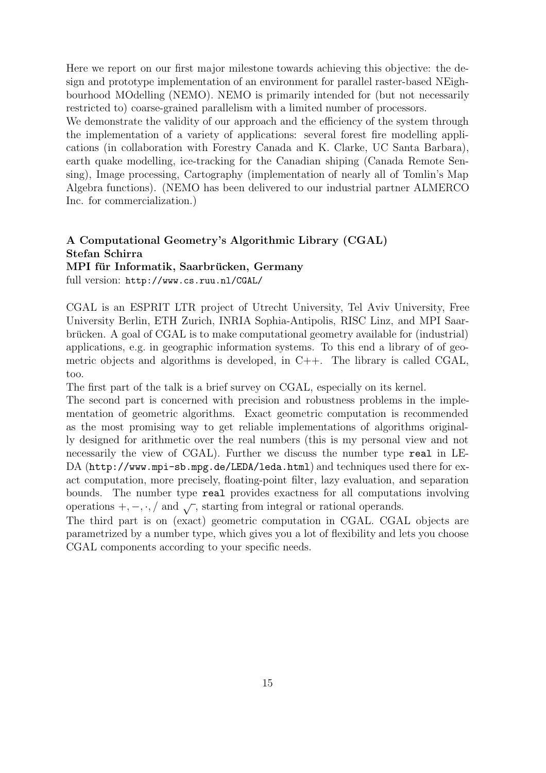Here we report on our first major milestone towards achieving this objective: the design and prototype implementation of an environment for parallel raster-based NEighbourhood MOdelling (NEMO). NEMO is primarily intended for (but not necessarily restricted to) coarse-grained parallelism with a limited number of processors.

We demonstrate the validity of our approach and the efficiency of the system through the implementation of a variety of applications: several forest fire modelling applications (in collaboration with Forestry Canada and K. Clarke, UC Santa Barbara), earth quake modelling, ice-tracking for the Canadian shiping (Canada Remote Sensing), Image processing, Cartography (implementation of nearly all of Tomlin's Map Algebra functions). (NEMO has been delivered to our industrial partner ALMERCO Inc. for commercialization.)

# A Computational Geometry's Algorithmic Library (CGAL) Stefan Schirra

MPI für Informatik, Saarbrücken, Germany

full version: http://www.cs.ruu.nl/CGAL/

CGAL is an ESPRIT LTR project of Utrecht University, Tel Aviv University, Free University Berlin, ETH Zurich, INRIA Sophia-Antipolis, RISC Linz, and MPI Saarbrucken. A goal of  $CGAL$  is to make computational geometry available for (industrial) applications, e.g. in geographic information systems. To this end a library of of geometric objects and algorithms is developed, in C++. The library is called CGAL, too.

The first part of the talk is a brief survey on CGAL, especially on its kernel.

The second part is concerned with precision and robustness problems in the implementation of geometric algorithms. Exact geometric computation is recommended as the most promising way to get reliable implementations of algorithms originally designed for arithmetic over the real numbers (this is my personal view and not necessarily the view of CGAL). Further we discuss the number type real in LE-DA (http://www.mpi-sb.mpg.de/LEDA/leda.html) and techniques used there for exact computation, more precisely, floating-point filter, lazy evaluation, and separation bounds. The number type real provides exactness for all computations involving operations  $+,-, \cdot, /$  and  $\sqrt{\ }$ , starting from integral or rational operands.

The third part is on (exact) geometric computation in CGAL. CGAL objects are parametrized by a number type, which gives you a lot of flexibility and lets you choose CGAL components according to your specific needs.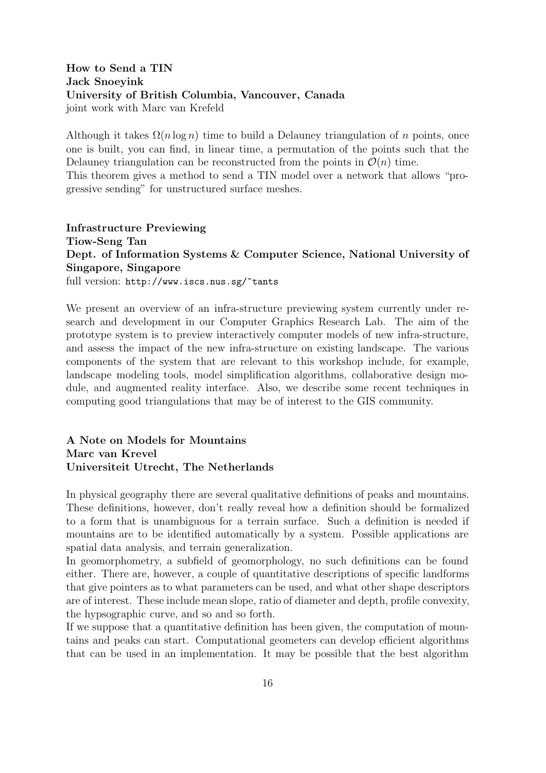### How to Send a TIN Jack Snoeyink University of British Columbia, Vancouver, Canada joint work with Marc van Krefeld

Although it takes  $\Omega(n \log n)$  time to build a Delauney triangulation of n points, once one is built, you can find, in linear time, a permutation of the points such that the Delauney triangulation can be reconstructed from the points in  $\mathcal{O}(n)$  time. This theorem gives a method to send a TIN model over a network that allows "pro-

gressive sending" for unstructured surface meshes.

Infrastructure Previewing Tiow-Seng Tan Dept. of Information Systems & Computer Science, National University of Singapore, Singapore full version: http://www.iscs.nus.sg/~tants

We present an overview of an infra-structure previewing system currently under research and development in our Computer Graphics Research Lab. The aim of the prototype system is to preview interactively computer models of new infra-structure, and assess the impact of the new infra-structure on existing landscape. The various components of the system that are relevant to this workshop include, for example, landscape modeling tools, model simplification algorithms, collaborative design module, and augmented reality interface. Also, we describe some recent techniques in computing good triangulations that may be of interest to the GIS community.

### A Note on Models for Mountains Marc van Krevel Universiteit Utrecht, The Netherlands

In physical geography there are several qualitative definitions of peaks and mountains. These definitions, however, don't really reveal how a definition should be formalized to a form that is unambiguous for a terrain surface. Such a definition is needed if mountains are to be identified automatically by a system. Possible applications are spatial data analysis, and terrain generalization.

In geomorphometry, a subfield of geomorphology, no such definitions can be found either. There are, however, a couple of quantitative descriptions of specific landforms that give pointers as to what parameters can be used, and what other shape descriptors are of interest. These include mean slope, ratio of diameter and depth, profile convexity, the hypsographic curve, and so and so forth.

If we suppose that a quantitative definition has been given, the computation of mountains and peaks can start. Computational geometers can develop efficient algorithms that can be used in an implementation. It may be possible that the best algorithm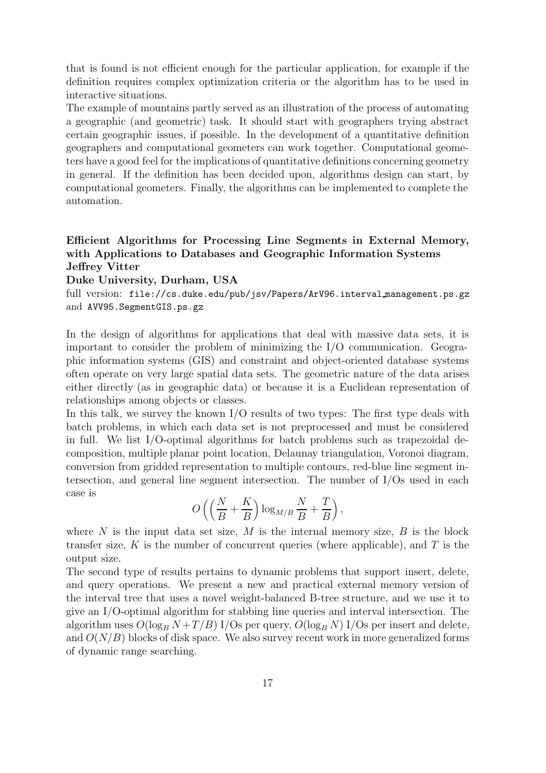that is found is not efficient enough for the particular application, for example if the definition requires complex optimization criteria or the algorithm has to be used in interactive situations.

The example of mountains partly served as an illustration of the process of automating a geographic (and geometric) task. It should start with geographers trying abstract certain geographic issues, if possible. In the development of a quantitative definition geographers and computational geometers can work together. Computational geometers have a good feel for the implications of quantitative definitions concerning geometry in general. If the definition has been decided upon, algorithms design can start, by computational geometers. Finally, the algorithms can be implemented to complete the automation.

### Efficient Algorithms for Processing Line Segments in External Memory, with Applications to Databases and Geographic Information Systems Jeffrey Vitter

#### Duke University, Durham, USA

full version: file://cs.duke.edu/pub/jsv/Papers/ArV96.interval management.ps.gz and AVV95.SegmentGIS.ps.gz

In the design of algorithms for applications that deal with massive data sets, it is important to consider the problem of minimizing the I/O communication. Geographic information systems (GIS) and constraint and object-oriented database systems often operate on very large spatial data sets. The geometric nature of the data arises either directly (as in geographic data) or because it is a Euclidean representation of relationships among objects or classes.

In this talk, we survey the known I/O results of two types: The first type deals with batch problems, in which each data set is not preprocessed and must be considered in full. We list I/O-optimal algorithms for batch problems such as trapezoidal decomposition, multiple planar point location, Delaunay triangulation, Voronoi diagram, conversion from gridded representation to multiple contours, red-blue line segment intersection, and general line segment intersection. The number of I/Os used in each case is

$$
O\left(\left(\frac{N}{B} + \frac{K}{B}\right) \log_{M/B} \frac{N}{B} + \frac{T}{B}\right),\
$$

where  $N$  is the input data set size,  $M$  is the internal memory size,  $B$  is the block transfer size, K is the number of concurrent queries (where applicable), and T is the output size.

The second type of results pertains to dynamic problems that support insert, delete, and query operations. We present a new and practical external memory version of the interval tree that uses a novel weight-balanced B-tree structure, and we use it to give an I/O-optimal algorithm for stabbing line queries and interval intersection. The algorithm uses  $O(\log_B N + T/B)$  I/Os per query,  $O(\log_B N)$  I/Os per insert and delete, and  $O(N/B)$  blocks of disk space. We also survey recent work in more generalized forms of dynamic range searching.